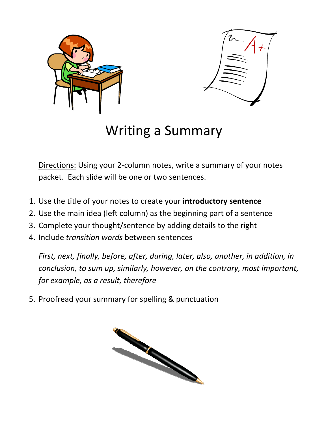



## Writing a Summary Writing

Directions: Using your 2-column notes, write a summary of your notes packet. Each slide will be one or two sentences.

- 1. Use the title of your notes to create your **introductory sentence**
- 2. Use the main idea (left column) as the beginning part of a sentence
- 3. Complete your thought/sentence by adding details to the right
- 4. Include *transition words* between sentences

First, next, finally, before, after, during, later, also, another, in addition, in *conclusion, to sum up, similarly, however, on the contrary, most important, for example, as a result, therefore* Directions: Using your 2-column notes, write a summary of your notes<br>packet. Each slide will be one or two sentences.<br>Use the title of your notes to create your **introductory sentence**<br>Use the main idea (left column) as th

5. Proofread your summary for spelling & punctuation